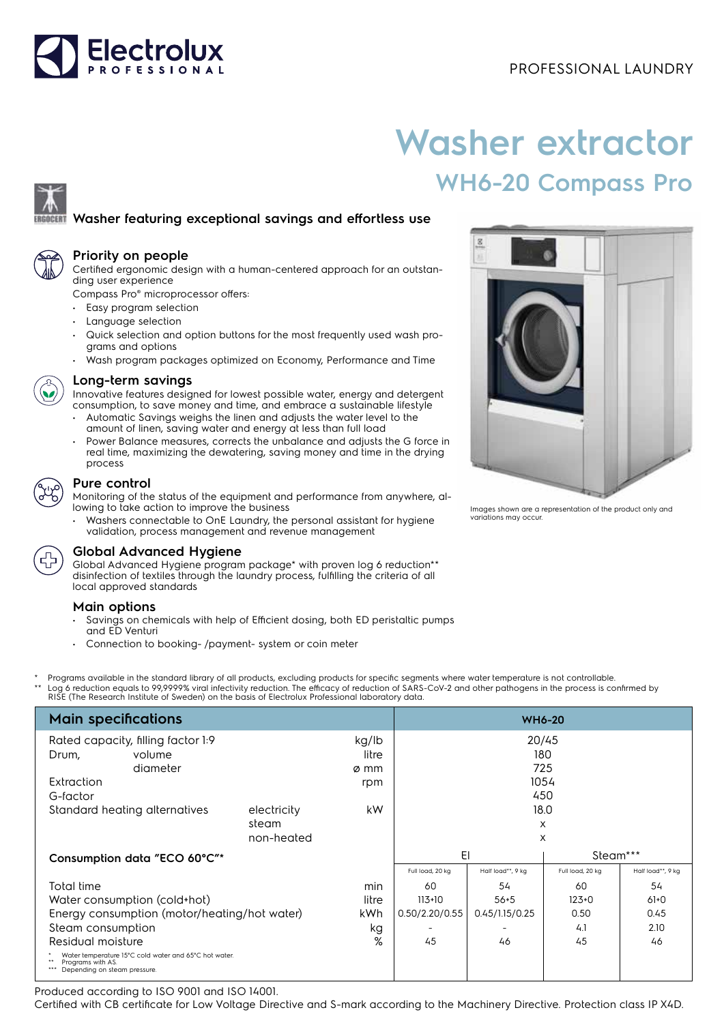# Electrolux

# **Washer extractor WH6-20 Compass Pro**

## **Washer featuring exceptional savings and effortless use**



#### **Priority on people**

Certified ergonomic design with a human-centered approach for an outstanding user experience

Compass Pro® microprocessor offers:

- Easy program selection
- Language selection
- Quick selection and option buttons for the most frequently used wash programs and options
- Wash program packages optimized on Economy, Performance and Time



#### **Long-term savings**

Innovative features designed for lowest possible water, energy and detergent consumption, to save money and time, and embrace a sustainable lifestyle

- Automatic Savings weighs the linen and adjusts the water level to the amount of linen, saving water and energy at less than full load
- Power Balance measures, corrects the unbalance and adjusts the G force in real time, maximizing the dewatering, saving money and time in the drying process

### **Pure control**

Monitoring of the status of the equipment and performance from anywhere, allowing to take action to improve the business

• Washers connectable to OnE Laundry, the personal assistant for hygiene validation, process management and revenue management

#### **Global Advanced Hygiene**

Global Advanced Hygiene program package\* with proven log 6 reduction\*\* disinfection of textiles through the laundry process, fulfilling the criteria of all local approved standards

#### **Main options**

- Savings on chemicals with help of Efficient dosing, both ED peristaltic pumps and ED Venturi
- Connection to booking- /payment- system or coin meter
- Programs available in the standard library of all products, excluding products for specific segments where water temperature is not controllable.
- \*\* Log 6 reduction equals to 99,9999% viral infectivity reduction. The efficacy of reduction of SARS-CoV-2 and other pathogens in the process is confirmed by<br>RISE (The Research Institute of Sweden) on the basis of Electrol

| <b>Main specifications</b>                                                                                 | <b>WH6-20</b>        |                |                  |                   |                  |                   |
|------------------------------------------------------------------------------------------------------------|----------------------|----------------|------------------|-------------------|------------------|-------------------|
| Rated capacity, filling factor 1:9<br>kg/lb                                                                |                      |                | 20/45            |                   |                  |                   |
| Drum,<br>volume                                                                                            |                      | litre          | 180<br>725       |                   |                  |                   |
| diameter                                                                                                   |                      | ø mm           |                  |                   |                  |                   |
| Extraction                                                                                                 |                      | rpm            |                  |                   | 1054             |                   |
| G-factor                                                                                                   |                      |                |                  | 450               |                  |                   |
| Standard heating alternatives                                                                              | electricity<br>steam | kW             |                  | 18.0              |                  |                   |
|                                                                                                            | non-heated           |                |                  | X                 |                  |                   |
|                                                                                                            |                      |                |                  | X                 |                  |                   |
| Consumption data "ECO 60°C"*                                                                               |                      |                | EI               |                   | Steam***         |                   |
|                                                                                                            |                      |                | Full load, 20 kg | Half load**, 9 kg | Full load, 20 kg | Half load**, 9 kg |
| Total time                                                                                                 |                      | min            | 60               | 54                | 60               | 54                |
| Water consumption (cold+hot)                                                                               | litre                | $113+10$       | $56 + 5$         | $123+0$           | $61+0$           |                   |
| Energy consumption (motor/heating/hot water)                                                               | kWh                  | 0.50/2.20/0.55 | 0.45/1.15/0.25   | 0.50              | 0.45             |                   |
| Steam consumption                                                                                          | kg                   |                |                  | 4.1               | 2.10             |                   |
| Residual moisture                                                                                          |                      |                | 45               | 46                | 45               | 46                |
| Water temperature 15°C cold water and 65°C hot water.<br>Programs with AS.<br>Depending on steam pressure. |                      |                |                  |                   |                  |                   |

Produced according to ISO 9001 and ISO 14001.

Certified with CB certificate for Low Voltage Directive and S-mark according to the Machinery Directive. Protection class IP X4D.



Images shown are a representation of the product only and variations may occur.